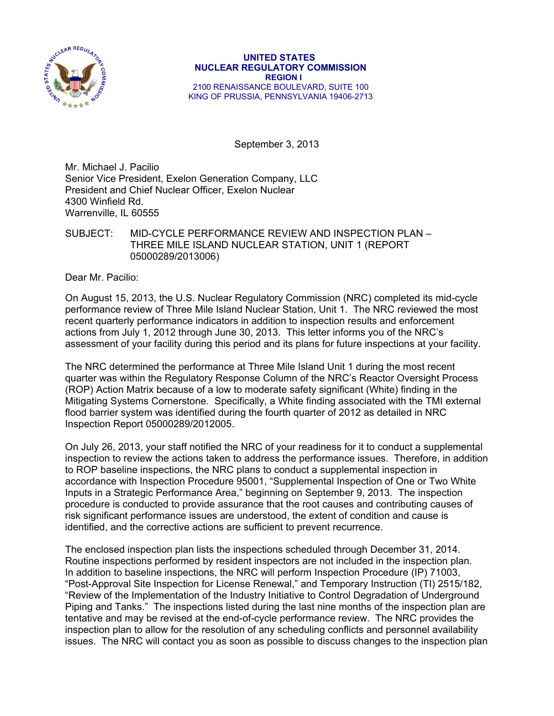

## **UNITED STATES NUCLEAR REGULATORY COMMISSION REGION I**  2100 RENAISSANCE BOULEVARD, SUITE 100 KING OF PRUSSIA, PENNSYLVANIA 19406-2713

September 3, 2013

Mr. Michael J. Pacilio Senior Vice President, Exelon Generation Company, LLC President and Chief Nuclear Officer, Exelon Nuclear 4300 Winfield Rd. Warrenville, IL 60555

## SUBJECT: MID-CYCLE PERFORMANCE REVIEW AND INSPECTION PLAN – THREE MILE ISLAND NUCLEAR STATION, UNIT 1 (REPORT 05000289/2013006)

Dear Mr. Pacilio:

On August 15, 2013, the U.S. Nuclear Regulatory Commission (NRC) completed its mid-cycle performance review of Three Mile Island Nuclear Station, Unit 1. The NRC reviewed the most recent quarterly performance indicators in addition to inspection results and enforcement actions from July 1, 2012 through June 30, 2013. This letter informs you of the NRC's assessment of your facility during this period and its plans for future inspections at your facility.

The NRC determined the performance at Three Mile Island Unit 1 during the most recent quarter was within the Regulatory Response Column of the NRC's Reactor Oversight Process (ROP) Action Matrix because of a low to moderate safety significant (White) finding in the Mitigating Systems Cornerstone. Specifically, a White finding associated with the TMI external flood barrier system was identified during the fourth quarter of 2012 as detailed in NRC Inspection Report 05000289/2012005.

On July 26, 2013, your staff notified the NRC of your readiness for it to conduct a supplemental inspection to review the actions taken to address the performance issues. Therefore, in addition to ROP baseline inspections, the NRC plans to conduct a supplemental inspection in accordance with Inspection Procedure 95001, "Supplemental Inspection of One or Two White Inputs in a Strategic Performance Area," beginning on September 9, 2013. The inspection procedure is conducted to provide assurance that the root causes and contributing causes of risk significant performance issues are understood, the extent of condition and cause is identified, and the corrective actions are sufficient to prevent recurrence.

The enclosed inspection plan lists the inspections scheduled through December 31, 2014. Routine inspections performed by resident inspectors are not included in the inspection plan. In addition to baseline inspections, the NRC will perform Inspection Procedure (IP) 71003, "Post-Approval Site Inspection for License Renewal," and Temporary Instruction (TI) 2515/182, "Review of the Implementation of the Industry Initiative to Control Degradation of Underground Piping and Tanks." The inspections listed during the last nine months of the inspection plan are tentative and may be revised at the end-of-cycle performance review. The NRC provides the inspection plan to allow for the resolution of any scheduling conflicts and personnel availability issues. The NRC will contact you as soon as possible to discuss changes to the inspection plan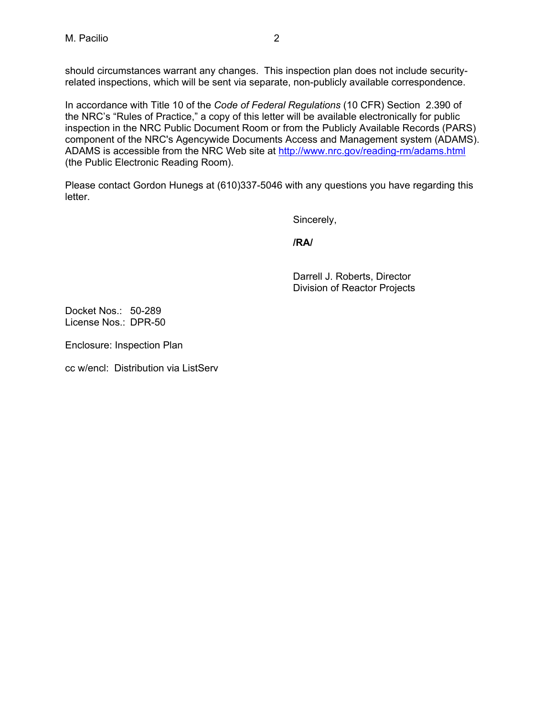should circumstances warrant any changes. This inspection plan does not include securityrelated inspections, which will be sent via separate, non-publicly available correspondence.

In accordance with Title 10 of the *Code of Federal Regulations* (10 CFR) Section 2.390 of the NRC's "Rules of Practice," a copy of this letter will be available electronically for public inspection in the NRC Public Document Room or from the Publicly Available Records (PARS) component of the NRC's Agencywide Documents Access and Management system (ADAMS). ADAMS is accessible from the NRC Web site at http://www.nrc.gov/reading-rm/adams.html (the Public Electronic Reading Room).

Please contact Gordon Hunegs at (610)337-5046 with any questions you have regarding this letter.

Sincerely,

**/RA/** 

Darrell J. Roberts, Director Division of Reactor Projects

Docket Nos.: 50-289 License Nos.: DPR-50

Enclosure: Inspection Plan

cc w/encl: Distribution via ListServ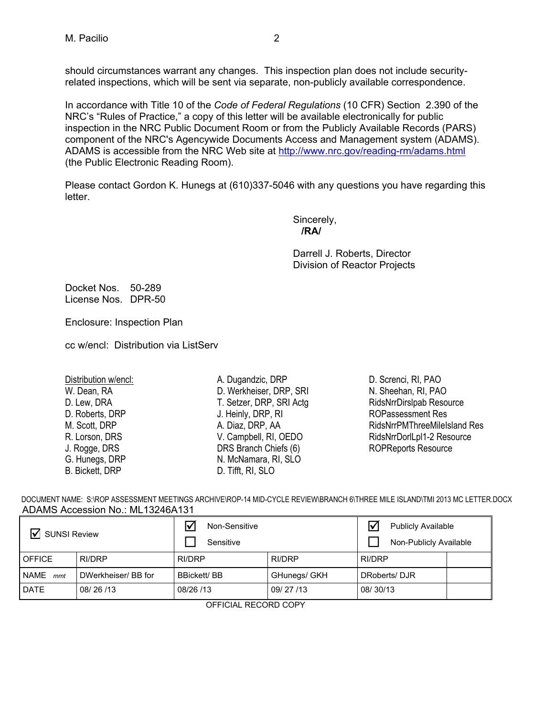should circumstances warrant any changes. This inspection plan does not include securityrelated inspections, which will be sent via separate, non-publicly available correspondence.

In accordance with Title 10 of the *Code of Federal Regulations* (10 CFR) Section 2.390 of the NRC's "Rules of Practice," a copy of this letter will be available electronically for public inspection in the NRC Public Document Room or from the Publicly Available Records (PARS) component of the NRC's Agencywide Documents Access and Management system (ADAMS). ADAMS is accessible from the NRC Web site at http://www.nrc.gov/reading-rm/adams.html (the Public Electronic Reading Room).

Please contact Gordon K. Hunegs at (610)337-5046 with any questions you have regarding this letter.

Sincerely, **/RA/** 

> Darrell J. Roberts, Director Division of Reactor Projects

Docket Nos. 50-289 License Nos. DPR-50

Enclosure: Inspection Plan

cc w/encl: Distribution via ListServ

Distribution w/encl: W. Dean, RA D. Lew, DRA D. Roberts, DRP M. Scott, DRP R. Lorson, DRS J. Rogge, DRS G. Hunegs, DRP B. Bickett, DRP

- A. Dugandzic, DRP D. Werkheiser, DRP, SRI T. Setzer, DRP, SRI Actg J. Heinly, DRP, RI A. Diaz, DRP, AA V. Campbell, RI, OEDO DRS Branch Chiefs (6) N. McNamara, RI, SLO D. Tifft, RI, SLO
- D. Screnci, RI, PAO N. Sheehan, RI, PAO RidsNrrDirslpab Resource ROPassessment Res RidsNrrPMThreeMileIsland Res RidsNrrDorlLpl1-2 Resource ROPReports Resource

|                                  | DOCUMENT NAME: S:\ROP ASSESSMENT MEETINGS ARCHIVE\ROP-14 MID-CYCLE REVIEW\BRANCH 6\THREE MILE ISLAND\TMI 2013 MC LETTER.DOCX |  |  |
|----------------------------------|------------------------------------------------------------------------------------------------------------------------------|--|--|
| ADAMS Accession No.: ML13246A131 |                                                                                                                              |  |  |

| ☑<br><b>SUNSI Review</b> |                     | 冈<br>Non-Sensitive<br>Sensitive |              | ₩<br><b>Publicly Available</b><br>Non-Publicly Available |  |
|--------------------------|---------------------|---------------------------------|--------------|----------------------------------------------------------|--|
| <b>OFFICE</b>            | <b>RI/DRP</b>       | RI/DRP                          | RI/DRP       | RI/DRP                                                   |  |
| NAME<br>mmt              | DWerkheiser/ BB for | <b>BBickett/BB</b>              | GHunegs/ GKH | DRoberts/DJR                                             |  |
| <b>DATE</b>              | 08/26/13            | 08/26 /13                       | 09/27/13     | 08/30/13                                                 |  |

OFFICIAL RECORD COPY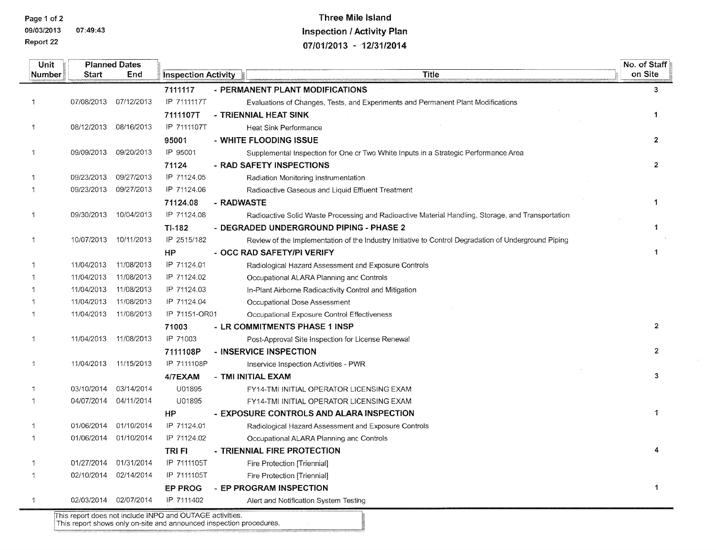Page 1 of 2

Report 22

09/03/2013 07:49:43

## **Three Mile Island Inspection / Activity Plan** 07/01/2013 - 12/31/2014

| Unit         |            | <b>Planned Dates</b>  |                                                                                     |            |                                                                                                      | No. of Staff   |
|--------------|------------|-----------------------|-------------------------------------------------------------------------------------|------------|------------------------------------------------------------------------------------------------------|----------------|
| Number       | Start      | End                   | <b>Inspection Activity</b>                                                          |            | <b>Title</b>                                                                                         | on Site        |
|              |            |                       | 7111117                                                                             |            | - PERMANENT PLANT MODIFICATIONS                                                                      | $\overline{3}$ |
| 1            | 07/08/2013 | 07/12/2013            | IP 7111117T                                                                         |            | Evaluations of Changes, Tests, and Experiments and Permanent Plant Modifications                     |                |
|              |            |                       | 7111107T                                                                            |            | - TRIENNIAL HEAT SINK                                                                                | $\mathbf{1}$   |
| 1            | 08/12/2013 | 08/16/2013            | IP 7111107T                                                                         |            | <b>Heat Sink Performance</b>                                                                         |                |
|              |            |                       | 95001                                                                               |            | - WHITE FLOODING ISSUE                                                                               | $\mathbf{2}$   |
| 1            | 09/09/2013 | 09/20/2013            | IP 95001                                                                            |            | Supplemental Inspection for One or Two White Inputs in a Strategic Performance Area                  |                |
|              |            |                       | 71124                                                                               |            | - RAD SAFETY INSPECTIONS                                                                             | $\overline{2}$ |
| 1            | 09/23/2013 | 09/27/2013            | IP 71124.05                                                                         |            | Radiation Monitoring Instrumentation                                                                 |                |
| 1            | 09/23/2013 | 09/27/2013            | IP 71124.06                                                                         |            | Radioactive Gaseous and Liquid Effluent Treatment                                                    |                |
|              |            |                       | 71124.08                                                                            | - RADWASTE |                                                                                                      | $\ddagger$     |
| 1            | 09/30/2013 | 10/04/2013            | IP 71124.08                                                                         |            | Radioactive Solid Waste Processing and Radioactive Material Handling, Storage, and Transportation    |                |
|              |            |                       | TI-182                                                                              |            | - DEGRADED UNDERGROUND PIPING - PHASE 2                                                              | $\mathbf{1}$   |
| 1            | 10/07/2013 | 10/11/2013            | IP 2515/182                                                                         |            | Review of the Implementation of the Industry Initiative to Control Degradation of Underground Piping |                |
|              |            |                       | HP                                                                                  |            | - OCC RAD SAFETY/PI VERIFY                                                                           | 1              |
| 1            | 11/04/2013 | 11/08/2013            | IP 71124.01                                                                         |            | Radiological Hazard Assessment and Exposure Controls                                                 |                |
|              | 11/04/2013 | 11/08/2013            | IP 71124.02                                                                         |            | Occupational ALARA Planning and Controls                                                             |                |
|              | 11/04/2013 | 11/08/2013            | IP 71124.03                                                                         |            | In-Plant Airborne Radioactivity Control and Mitigation                                               |                |
| 1            | 11/04/2013 | 11/08/2013            | IP 71124.04                                                                         |            | Occupational Dose Assessment                                                                         |                |
| 1            | 11/04/2013 | 11/08/2013            | IP 71151-OR01                                                                       |            | Occupational Exposure Control Effectiveness                                                          |                |
|              |            |                       | 71003                                                                               |            | - LR COMMITMENTS PHASE 1 INSP                                                                        | $\mathbf{2}$   |
| 1            | 11/04/2013 | 11/08/2013            | IP 71003                                                                            |            | Post-Approval Site Inspection for License Renewal                                                    |                |
|              |            |                       | 7111108P                                                                            |            | - INSERVICE INSPECTION                                                                               | $\mathbf{2}$   |
| $\mathbf{1}$ | 11/04/2013 | 11/15/2013            | IP 7111108P                                                                         |            | Inservice Inspection Activities - PWR                                                                |                |
|              |            |                       | 4/7EXAM                                                                             |            | - TMI INITIAL EXAM                                                                                   | 3              |
| 1            | 03/10/2014 | 03/14/2014            | U01895                                                                              |            | FY14-TMI INITIAL OPERATOR LICENSING EXAM                                                             |                |
| 1            | 04/07/2014 | 04/11/2014            | U01895                                                                              |            | FY14-TMI INITIAL OPERATOR LICENSING EXAM                                                             |                |
|              |            |                       | <b>HP</b>                                                                           |            | - EXPOSURE CONTROLS AND ALARA INSPECTION                                                             | 1              |
| 1            | 01/06/2014 | 01/10/2014            | IP 71124.01                                                                         |            | Radiological Hazard Assessment and Exposure Controls                                                 |                |
| 1            | 01/06/2014 | 01/10/2014            | IP 71124.02                                                                         |            | Occupational ALARA Planning and Controls                                                             |                |
|              |            |                       | <b>TRIFI</b>                                                                        |            | - TRIENNIAL FIRE PROTECTION                                                                          | 4              |
| 1            | 01/27/2014 | 01/31/2014            | IP 7111105T                                                                         |            | Fire Protection [Triennial]                                                                          |                |
| $\mathbf{1}$ |            | 02/10/2014 02/14/2014 | IP 7111105T                                                                         |            | Fire Protection [Triennial]                                                                          |                |
|              |            |                       | <b>EP PROG</b>                                                                      |            | - EP PROGRAM INSPECTION                                                                              | 1              |
| 1            | 02/03/2014 | 02/07/2014            | IP 7111402                                                                          |            | Alert and Notification System Testing                                                                |                |
|              |            |                       | This report does not include $\text{IMPO}$ and $\text{O}$ $\text{ITAGE}$ activities |            |                                                                                                      |                |

 $\mathcal{L}$ 

This report does not include INPO and OUTAGE activities.<br>This report shows only on-site and announced inspection procedures.